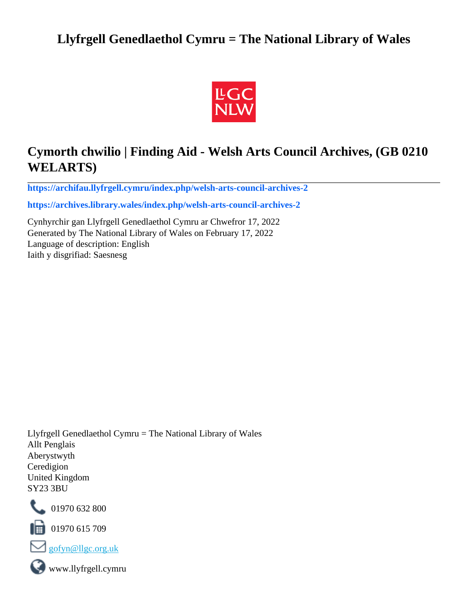# **Llyfrgell Genedlaethol Cymru = The National Library of Wales**



# **Cymorth chwilio | Finding Aid - Welsh Arts Council Archives, (GB 0210 WELARTS)**

**[https://archifau.llyfrgell.cymru/index.php/welsh-arts-council-archives-2](https://archifau.llyfrgell.cymru/index.php/welsh-arts-council-archives-2;isad?sf_culture=cy)**

**[https://archives.library.wales/index.php/welsh-arts-council-archives-2](https://archives.library.wales/index.php/welsh-arts-council-archives-2;isad?sf_culture=en)**

Cynhyrchir gan Llyfrgell Genedlaethol Cymru ar Chwefror 17, 2022 Generated by The National Library of Wales on February 17, 2022 Language of description: English Iaith y disgrifiad: Saesnesg

Llyfrgell Genedlaethol Cymru = The National Library of Wales Allt Penglais Aberystwyth Ceredigion United Kingdom SY23 3BU



101970 632 800

 $\blacksquare$  01970 615 709



www.llyfrgell.cymru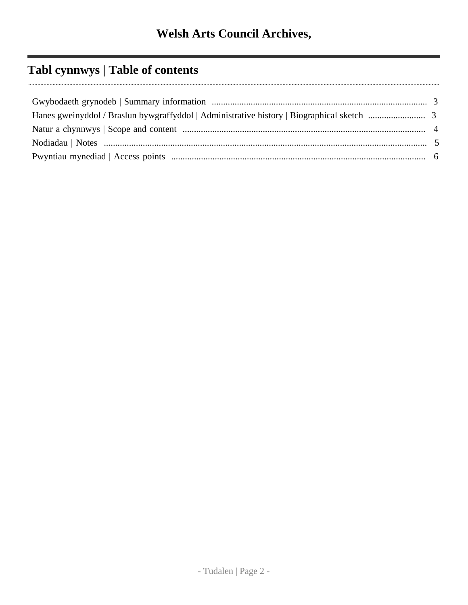# **Tabl cynnwys | Table of contents**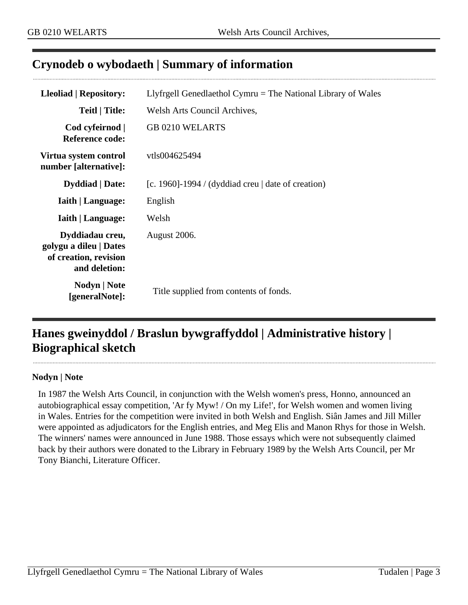### <span id="page-2-0"></span>**Crynodeb o wybodaeth | Summary of information**

| Lleoliad   Repository:                                                              | Llyfrgell Genedlaethol Cymru $=$ The National Library of Wales |
|-------------------------------------------------------------------------------------|----------------------------------------------------------------|
| Teitl   Title:                                                                      | Welsh Arts Council Archives,                                   |
| Cod cyfeirnod  <br><b>Reference code:</b>                                           | <b>GB 0210 WELARTS</b>                                         |
| Virtua system control<br>number [alternative]:                                      | vtls004625494                                                  |
| <b>Dyddiad</b>   Date:                                                              | [c. 1960]-1994 / (dyddiad creu   date of creation)             |
| <b>Iaith   Language:</b>                                                            | English                                                        |
| <b>Iaith   Language:</b>                                                            | Welsh                                                          |
| Dyddiadau creu,<br>golygu a dileu   Dates<br>of creation, revision<br>and deletion: | August 2006.                                                   |
| Nodyn   Note<br>[generalNote]:                                                      | Title supplied from contents of fonds.                         |

## <span id="page-2-1"></span>**Hanes gweinyddol / Braslun bywgraffyddol | Administrative history | Biographical sketch**

#### **Nodyn | Note**

In 1987 the Welsh Arts Council, in conjunction with the Welsh women's press, Honno, announced an autobiographical essay competition, 'Ar fy Myw! / On my Life!', for Welsh women and women living in Wales. Entries for the competition were invited in both Welsh and English. Siân James and Jill Miller were appointed as adjudicators for the English entries, and Meg Elis and Manon Rhys for those in Welsh. The winners' names were announced in June 1988. Those essays which were not subsequently claimed back by their authors were donated to the Library in February 1989 by the Welsh Arts Council, per Mr Tony Bianchi, Literature Officer.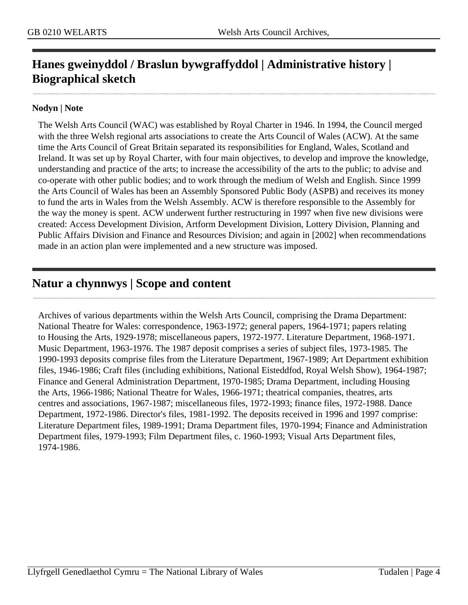# **Hanes gweinyddol / Braslun bywgraffyddol | Administrative history | Biographical sketch**

#### **Nodyn | Note**

The Welsh Arts Council (WAC) was established by Royal Charter in 1946. In 1994, the Council merged with the three Welsh regional arts associations to create the Arts Council of Wales (ACW). At the same time the Arts Council of Great Britain separated its responsibilities for England, Wales, Scotland and Ireland. It was set up by Royal Charter, with four main objectives, to develop and improve the knowledge, understanding and practice of the arts; to increase the accessibility of the arts to the public; to advise and co-operate with other public bodies; and to work through the medium of Welsh and English. Since 1999 the Arts Council of Wales has been an Assembly Sponsored Public Body (ASPB) and receives its money to fund the arts in Wales from the Welsh Assembly. ACW is therefore responsible to the Assembly for the way the money is spent. ACW underwent further restructuring in 1997 when five new divisions were created: Access Development Division, Artform Development Division, Lottery Division, Planning and Public Affairs Division and Finance and Resources Division; and again in [2002] when recommendations made in an action plan were implemented and a new structure was imposed.

### <span id="page-3-0"></span>**Natur a chynnwys | Scope and content**

Archives of various departments within the Welsh Arts Council, comprising the Drama Department: National Theatre for Wales: correspondence, 1963-1972; general papers, 1964-1971; papers relating to Housing the Arts, 1929-1978; miscellaneous papers, 1972-1977. Literature Department, 1968-1971. Music Department, 1963-1976. The 1987 deposit comprises a series of subject files, 1973-1985. The 1990-1993 deposits comprise files from the Literature Department, 1967-1989; Art Department exhibition files, 1946-1986; Craft files (including exhibitions, National Eisteddfod, Royal Welsh Show), 1964-1987; Finance and General Administration Department, 1970-1985; Drama Department, including Housing the Arts, 1966-1986; National Theatre for Wales, 1966-1971; theatrical companies, theatres, arts centres and associations, 1967-1987; miscellaneous files, 1972-1993; finance files, 1972-1988. Dance Department, 1972-1986. Director's files, 1981-1992. The deposits received in 1996 and 1997 comprise: Literature Department files, 1989-1991; Drama Department files, 1970-1994; Finance and Administration Department files, 1979-1993; Film Department files, c. 1960-1993; Visual Arts Department files, 1974-1986.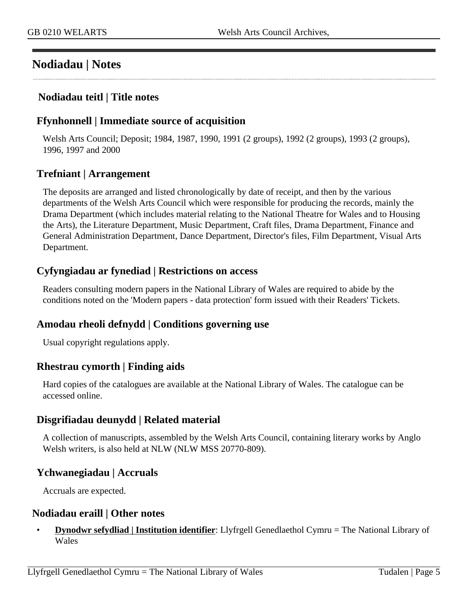### <span id="page-4-0"></span>**Nodiadau | Notes**

#### **Nodiadau teitl | Title notes**

#### **Ffynhonnell | Immediate source of acquisition**

Welsh Arts Council; Deposit; 1984, 1987, 1990, 1991 (2 groups), 1992 (2 groups), 1993 (2 groups), 1996, 1997 and 2000

#### **Trefniant | Arrangement**

The deposits are arranged and listed chronologically by date of receipt, and then by the various departments of the Welsh Arts Council which were responsible for producing the records, mainly the Drama Department (which includes material relating to the National Theatre for Wales and to Housing the Arts), the Literature Department, Music Department, Craft files, Drama Department, Finance and General Administration Department, Dance Department, Director's files, Film Department, Visual Arts Department.

#### **Cyfyngiadau ar fynediad | Restrictions on access**

Readers consulting modern papers in the National Library of Wales are required to abide by the conditions noted on the 'Modern papers - data protection' form issued with their Readers' Tickets.

#### **Amodau rheoli defnydd | Conditions governing use**

Usual copyright regulations apply.

#### **Rhestrau cymorth | Finding aids**

Hard copies of the catalogues are available at the National Library of Wales. The catalogue can be accessed online.

#### **Disgrifiadau deunydd | Related material**

A collection of manuscripts, assembled by the Welsh Arts Council, containing literary works by Anglo Welsh writers, is also held at NLW (NLW MSS 20770-809).

#### **Ychwanegiadau | Accruals**

Accruals are expected.

#### **Nodiadau eraill | Other notes**

• **Dynodwr sefydliad | Institution identifier**: Llyfrgell Genedlaethol Cymru = The National Library of Wales